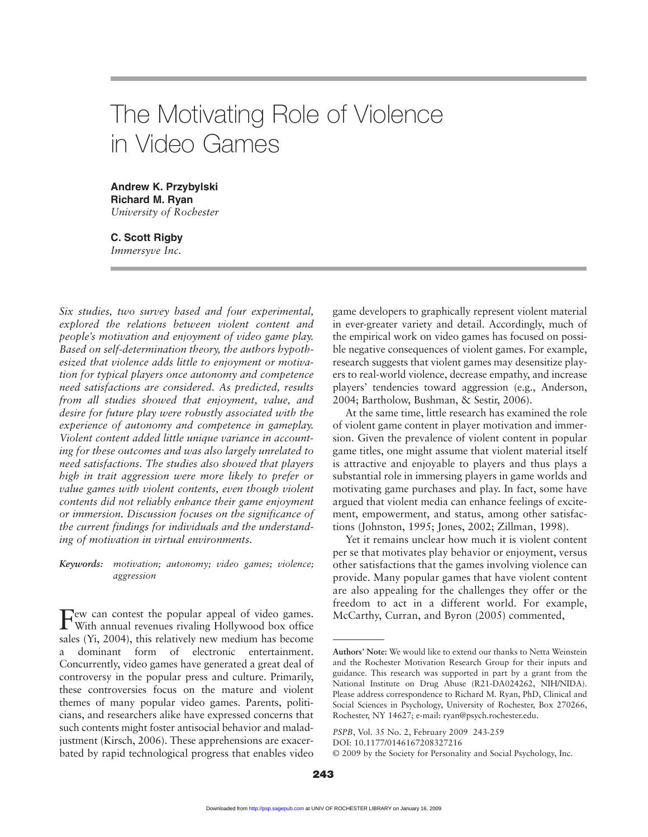# The Motivating Role of Violence in Video Games

**Andrew K. Przybylski Richard M. Ryan** *University of Rochester*

**C. Scott Rigby** *Immersyve Inc.*

*Six studies, two survey based and four experimental, explored the relations between violent content and people's motivation and enjoyment of video game play. Based on self-determination theory, the authors hypothesized that violence adds little to enjoyment or motivation for typical players once autonomy and competence need satisfactions are considered. As predicted, results from all studies showed that enjoyment, value, and desire for future play were robustly associated with the experience of autonomy and competence in gameplay. Violent content added little unique variance in accounting for these outcomes and was also largely unrelated to need satisfactions. The studies also showed that players high in trait aggression were more likely to prefer or value games with violent contents, even though violent contents did not reliably enhance their game enjoyment or immersion. Discussion focuses on the significance of the current findings for individuals and the understanding of motivation in virtual environments.*

*Keywords: motivation; autonomy; video games; violence; aggression*

Few can contest the popular appeal of video games. With annual revenues rivaling Hollywood box office sales (Yi, 2004), this relatively new medium has become a dominant form of electronic entertainment. Concurrently, video games have generated a great deal of controversy in the popular press and culture. Primarily, these controversies focus on the mature and violent themes of many popular video games. Parents, politicians, and researchers alike have expressed concerns that such contents might foster antisocial behavior and maladjustment (Kirsch, 2006). These apprehensions are exacerbated by rapid technological progress that enables video game developers to graphically represent violent material in ever-greater variety and detail. Accordingly, much of the empirical work on video games has focused on possible negative consequences of violent games. For example, research suggests that violent games may desensitize players to real-world violence, decrease empathy, and increase players' tendencies toward aggression (e.g., Anderson, 2004; Bartholow, Bushman, & Sestir, 2006).

At the same time, little research has examined the role of violent game content in player motivation and immersion. Given the prevalence of violent content in popular game titles, one might assume that violent material itself is attractive and enjoyable to players and thus plays a substantial role in immersing players in game worlds and motivating game purchases and play. In fact, some have argued that violent media can enhance feelings of excitement, empowerment, and status, among other satisfactions (Johnston, 1995; Jones, 2002; Zillman, 1998).

Yet it remains unclear how much it is violent content per se that motivates play behavior or enjoyment, versus other satisfactions that the games involving violence can provide. Many popular games that have violent content are also appealing for the challenges they offer or the freedom to act in a different world. For example, McCarthy, Curran, and Byron (2005) commented,

*PSPB*, Vol. 35 No. 2, February 2009 243-259

**Authors' Note:** We would like to extend our thanks to Netta Weinstein and the Rochester Motivation Research Group for their inputs and guidance. This research was supported in part by a grant from the National Institute on Drug Abuse (R21-DA024262, NIH/NIDA). Please address correspondence to Richard M. Ryan, PhD, Clinical and Social Sciences in Psychology, University of Rochester, Box 270266, Rochester, NY 14627; e-mail: ryan@psych.rochester.edu.

DOI: 10.1177/0146167208327216

<sup>© 2009</sup> by the Society for Personality and Social Psychology, Inc.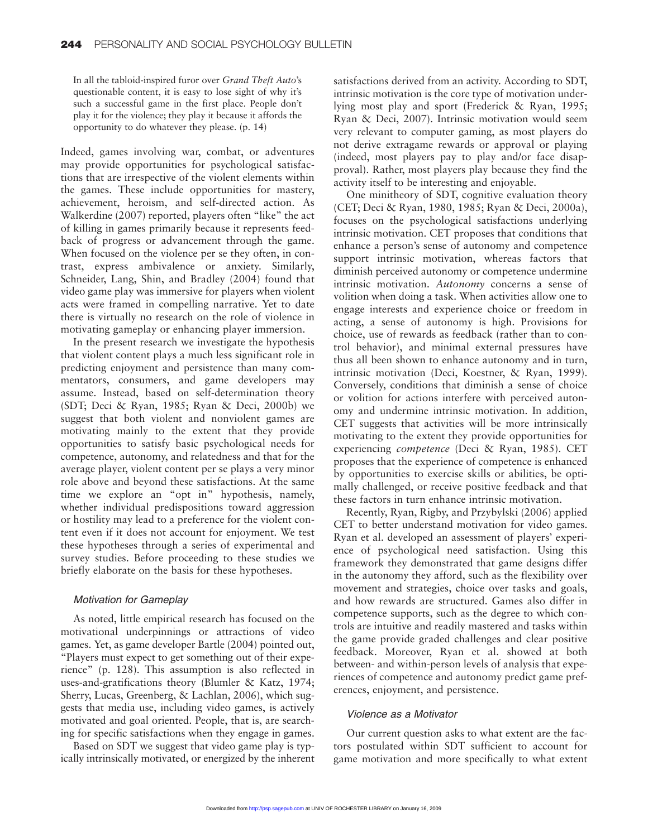In all the tabloid-inspired furor over *Grand Theft Auto*'s questionable content, it is easy to lose sight of why it's such a successful game in the first place. People don't play it for the violence; they play it because it affords the opportunity to do whatever they please. (p. 14)

Indeed, games involving war, combat, or adventures may provide opportunities for psychological satisfactions that are irrespective of the violent elements within the games. These include opportunities for mastery, achievement, heroism, and self-directed action. As Walkerdine (2007) reported, players often "like" the act of killing in games primarily because it represents feedback of progress or advancement through the game. When focused on the violence per se they often, in contrast, express ambivalence or anxiety. Similarly, Schneider, Lang, Shin, and Bradley (2004) found that video game play was immersive for players when violent acts were framed in compelling narrative. Yet to date there is virtually no research on the role of violence in motivating gameplay or enhancing player immersion.

In the present research we investigate the hypothesis that violent content plays a much less significant role in predicting enjoyment and persistence than many commentators, consumers, and game developers may assume. Instead, based on self-determination theory (SDT; Deci & Ryan, 1985; Ryan & Deci, 2000b) we suggest that both violent and nonviolent games are motivating mainly to the extent that they provide opportunities to satisfy basic psychological needs for competence, autonomy, and relatedness and that for the average player, violent content per se plays a very minor role above and beyond these satisfactions. At the same time we explore an "opt in" hypothesis, namely, whether individual predispositions toward aggression or hostility may lead to a preference for the violent content even if it does not account for enjoyment. We test these hypotheses through a series of experimental and survey studies. Before proceeding to these studies we briefly elaborate on the basis for these hypotheses.

## *Motivation for Gameplay*

As noted, little empirical research has focused on the motivational underpinnings or attractions of video games. Yet, as game developer Bartle (2004) pointed out, "Players must expect to get something out of their experience" (p. 128). This assumption is also reflected in uses-and-gratifications theory (Blumler & Katz, 1974; Sherry, Lucas, Greenberg, & Lachlan, 2006), which suggests that media use, including video games, is actively motivated and goal oriented. People, that is, are searching for specific satisfactions when they engage in games.

Based on SDT we suggest that video game play is typically intrinsically motivated, or energized by the inherent satisfactions derived from an activity. According to SDT, intrinsic motivation is the core type of motivation underlying most play and sport (Frederick & Ryan, 1995; Ryan & Deci, 2007). Intrinsic motivation would seem very relevant to computer gaming, as most players do not derive extragame rewards or approval or playing (indeed, most players pay to play and/or face disapproval). Rather, most players play because they find the activity itself to be interesting and enjoyable.

One minitheory of SDT, cognitive evaluation theory (CET; Deci & Ryan, 1980, 1985; Ryan & Deci, 2000a), focuses on the psychological satisfactions underlying intrinsic motivation. CET proposes that conditions that enhance a person's sense of autonomy and competence support intrinsic motivation, whereas factors that diminish perceived autonomy or competence undermine intrinsic motivation. *Autonomy* concerns a sense of volition when doing a task. When activities allow one to engage interests and experience choice or freedom in acting, a sense of autonomy is high. Provisions for choice, use of rewards as feedback (rather than to control behavior), and minimal external pressures have thus all been shown to enhance autonomy and in turn, intrinsic motivation (Deci, Koestner, & Ryan, 1999). Conversely, conditions that diminish a sense of choice or volition for actions interfere with perceived autonomy and undermine intrinsic motivation. In addition, CET suggests that activities will be more intrinsically motivating to the extent they provide opportunities for experiencing *competence* (Deci & Ryan, 1985). CET proposes that the experience of competence is enhanced by opportunities to exercise skills or abilities, be optimally challenged, or receive positive feedback and that these factors in turn enhance intrinsic motivation.

Recently, Ryan, Rigby, and Przybylski (2006) applied CET to better understand motivation for video games. Ryan et al. developed an assessment of players' experience of psychological need satisfaction. Using this framework they demonstrated that game designs differ in the autonomy they afford, such as the flexibility over movement and strategies, choice over tasks and goals, and how rewards are structured. Games also differ in competence supports, such as the degree to which controls are intuitive and readily mastered and tasks within the game provide graded challenges and clear positive feedback. Moreover, Ryan et al. showed at both between- and within-person levels of analysis that experiences of competence and autonomy predict game preferences, enjoyment, and persistence.

# *Violence as a Motivator*

Our current question asks to what extent are the factors postulated within SDT sufficient to account for game motivation and more specifically to what extent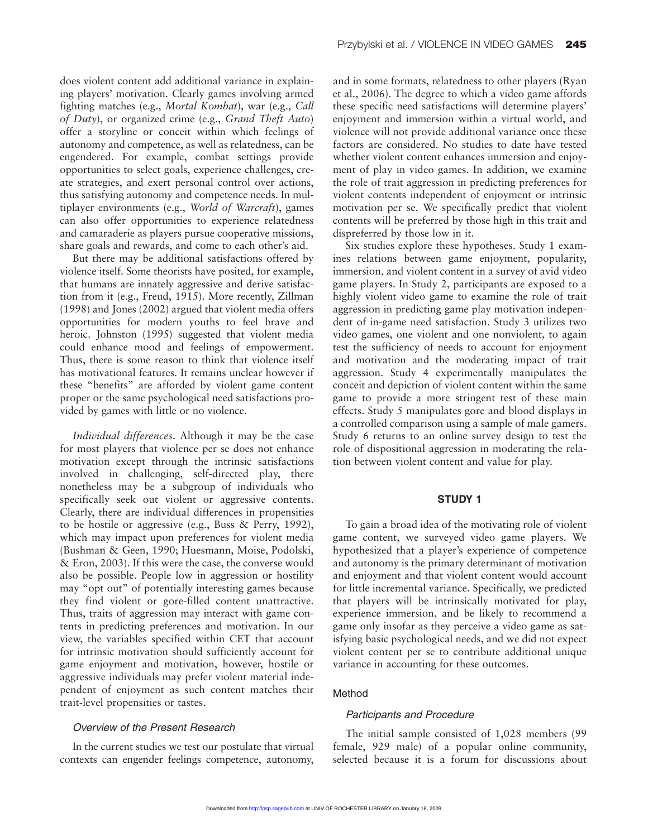does violent content add additional variance in explaining players' motivation. Clearly games involving armed fighting matches (e.g., *Mortal Kombat*), war (e.g., *Call of Duty*), or organized crime (e.g., *Grand Theft Auto*) offer a storyline or conceit within which feelings of autonomy and competence, as well as relatedness, can be engendered. For example, combat settings provide opportunities to select goals, experience challenges, create strategies, and exert personal control over actions, thus satisfying autonomy and competence needs. In multiplayer environments (e.g., *World of Warcraft*), games can also offer opportunities to experience relatedness and camaraderie as players pursue cooperative missions, share goals and rewards, and come to each other's aid.

But there may be additional satisfactions offered by violence itself. Some theorists have posited, for example, that humans are innately aggressive and derive satisfaction from it (e.g., Freud, 1915). More recently, Zillman (1998) and Jones (2002) argued that violent media offers opportunities for modern youths to feel brave and heroic. Johnston (1995) suggested that violent media could enhance mood and feelings of empowerment. Thus, there is some reason to think that violence itself has motivational features. It remains unclear however if these "benefits" are afforded by violent game content proper or the same psychological need satisfactions provided by games with little or no violence.

*Individual differences*. Although it may be the case for most players that violence per se does not enhance motivation except through the intrinsic satisfactions involved in challenging, self-directed play, there nonetheless may be a subgroup of individuals who specifically seek out violent or aggressive contents. Clearly, there are individual differences in propensities to be hostile or aggressive (e.g., Buss & Perry, 1992), which may impact upon preferences for violent media (Bushman & Geen, 1990; Huesmann, Moise, Podolski, & Eron, 2003). If this were the case, the converse would also be possible. People low in aggression or hostility may "opt out" of potentially interesting games because they find violent or gore-filled content unattractive. Thus, traits of aggression may interact with game contents in predicting preferences and motivation. In our view, the variables specified within CET that account for intrinsic motivation should sufficiently account for game enjoyment and motivation, however, hostile or aggressive individuals may prefer violent material independent of enjoyment as such content matches their trait-level propensities or tastes.

# *Overview of the Present Research*

In the current studies we test our postulate that virtual contexts can engender feelings competence, autonomy, and in some formats, relatedness to other players (Ryan et al., 2006). The degree to which a video game affords these specific need satisfactions will determine players' enjoyment and immersion within a virtual world, and violence will not provide additional variance once these factors are considered. No studies to date have tested whether violent content enhances immersion and enjoyment of play in video games. In addition, we examine the role of trait aggression in predicting preferences for violent contents independent of enjoyment or intrinsic motivation per se. We specifically predict that violent contents will be preferred by those high in this trait and dispreferred by those low in it.

Six studies explore these hypotheses. Study 1 examines relations between game enjoyment, popularity, immersion, and violent content in a survey of avid video game players. In Study 2, participants are exposed to a highly violent video game to examine the role of trait aggression in predicting game play motivation independent of in-game need satisfaction. Study 3 utilizes two video games, one violent and one nonviolent, to again test the sufficiency of needs to account for enjoyment and motivation and the moderating impact of trait aggression. Study 4 experimentally manipulates the conceit and depiction of violent content within the same game to provide a more stringent test of these main effects. Study 5 manipulates gore and blood displays in a controlled comparison using a sample of male gamers. Study 6 returns to an online survey design to test the role of dispositional aggression in moderating the relation between violent content and value for play.

# **STUDY 1**

To gain a broad idea of the motivating role of violent game content, we surveyed video game players. We hypothesized that a player's experience of competence and autonomy is the primary determinant of motivation and enjoyment and that violent content would account for little incremental variance. Specifically, we predicted that players will be intrinsically motivated for play, experience immersion, and be likely to recommend a game only insofar as they perceive a video game as satisfying basic psychological needs, and we did not expect violent content per se to contribute additional unique variance in accounting for these outcomes.

#### Method

# *Participants and Procedure*

The initial sample consisted of 1,028 members (99 female, 929 male) of a popular online community, selected because it is a forum for discussions about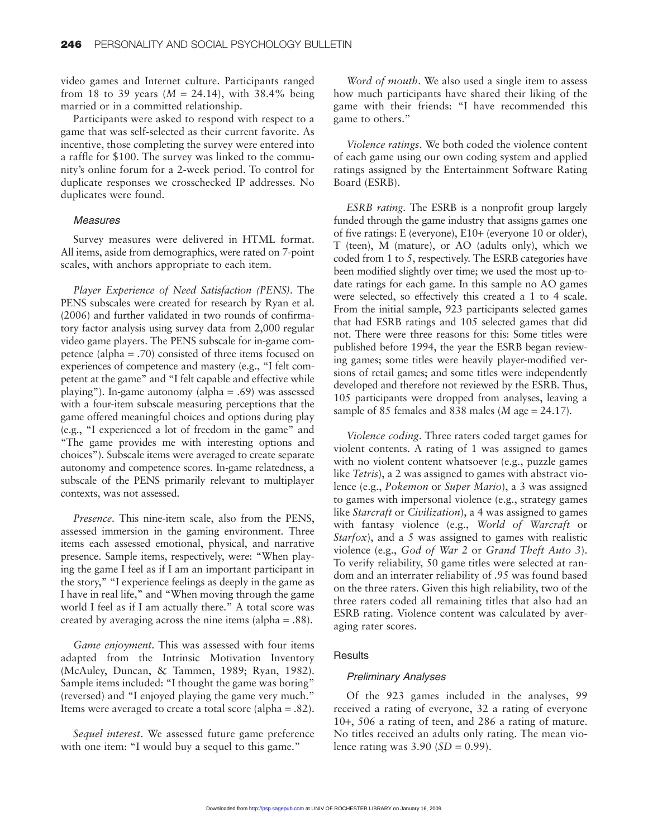video games and Internet culture. Participants ranged from 18 to 39 years  $(M = 24.14)$ , with 38.4% being married or in a committed relationship.

Participants were asked to respond with respect to a game that was self-selected as their current favorite. As incentive, those completing the survey were entered into a raffle for \$100. The survey was linked to the community's online forum for a 2-week period. To control for duplicate responses we crosschecked IP addresses. No duplicates were found.

# *Measures*

Survey measures were delivered in HTML format. All items, aside from demographics, were rated on 7-point scales, with anchors appropriate to each item.

*Player Experience of Need Satisfaction (PENS)*. The PENS subscales were created for research by Ryan et al. (2006) and further validated in two rounds of confirmatory factor analysis using survey data from 2,000 regular video game players. The PENS subscale for in-game competence (alpha = .70) consisted of three items focused on experiences of competence and mastery (e.g., "I felt competent at the game" and "I felt capable and effective while playing"). In-game autonomy (alpha = .69) was assessed with a four-item subscale measuring perceptions that the game offered meaningful choices and options during play (e.g., "I experienced a lot of freedom in the game" and "The game provides me with interesting options and choices"). Subscale items were averaged to create separate autonomy and competence scores. In-game relatedness, a subscale of the PENS primarily relevant to multiplayer contexts, was not assessed.

*Presence*. This nine-item scale, also from the PENS, assessed immersion in the gaming environment. Three items each assessed emotional, physical, and narrative presence. Sample items, respectively, were: "When playing the game I feel as if I am an important participant in the story," "I experience feelings as deeply in the game as I have in real life," and "When moving through the game world I feel as if I am actually there." A total score was created by averaging across the nine items (alpha = .88).

*Game enjoyment*. This was assessed with four items adapted from the Intrinsic Motivation Inventory (McAuley, Duncan, & Tammen, 1989; Ryan, 1982). Sample items included: "I thought the game was boring" (reversed) and "I enjoyed playing the game very much." Items were averaged to create a total score (alpha = .82).

*Sequel interest*. We assessed future game preference with one item: "I would buy a sequel to this game."

*Word of mouth*. We also used a single item to assess how much participants have shared their liking of the game with their friends: "I have recommended this game to others."

*Violence ratings*. We both coded the violence content of each game using our own coding system and applied ratings assigned by the Entertainment Software Rating Board (ESRB).

*ESRB rating*. The ESRB is a nonprofit group largely funded through the game industry that assigns games one of five ratings: E (everyone), E10+ (everyone 10 or older), T (teen), M (mature), or AO (adults only), which we coded from 1 to 5, respectively. The ESRB categories have been modified slightly over time; we used the most up-todate ratings for each game. In this sample no AO games were selected, so effectively this created a 1 to 4 scale. From the initial sample, 923 participants selected games that had ESRB ratings and 105 selected games that did not. There were three reasons for this: Some titles were published before 1994, the year the ESRB began reviewing games; some titles were heavily player-modified versions of retail games; and some titles were independently developed and therefore not reviewed by the ESRB. Thus, 105 participants were dropped from analyses, leaving a sample of 85 females and 838 males (*M* age = 24.17).

*Violence coding*. Three raters coded target games for violent contents. A rating of 1 was assigned to games with no violent content whatsoever (e.g., puzzle games like *Tetris*), a 2 was assigned to games with abstract violence (e.g., *Pokemon* or *Super Mario*), a 3 was assigned to games with impersonal violence (e.g., strategy games like *Starcraft* or *Civilization*), a 4 was assigned to games with fantasy violence (e.g., *World of Warcraft* or *Starfox*), and a 5 was assigned to games with realistic violence (e.g., *God of War 2* or *Grand Theft Auto 3*). To verify reliability, 50 game titles were selected at random and an interrater reliability of .95 was found based on the three raters. Given this high reliability, two of the three raters coded all remaining titles that also had an ESRB rating. Violence content was calculated by averaging rater scores.

# **Results**

## *Preliminary Analyses*

Of the 923 games included in the analyses, 99 received a rating of everyone, 32 a rating of everyone 10+, 506 a rating of teen, and 286 a rating of mature. No titles received an adults only rating. The mean violence rating was  $3.90 \ (SD = 0.99)$ .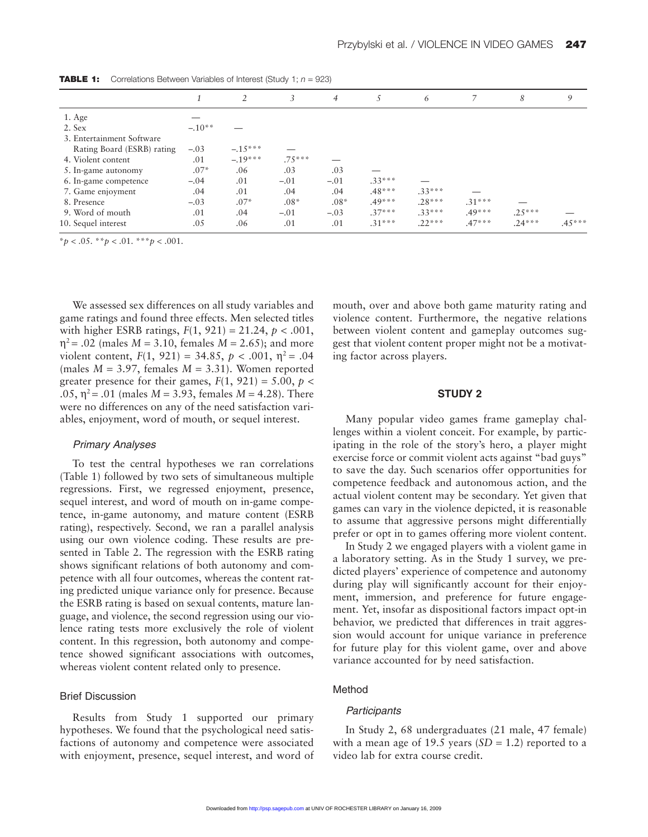|                            |          | 2         | 3        | $\overline{4}$ | 5        | 6        |          | 8        | 9        |
|----------------------------|----------|-----------|----------|----------------|----------|----------|----------|----------|----------|
| 1. Age                     |          |           |          |                |          |          |          |          |          |
| 2. Sex                     | $-.10**$ |           |          |                |          |          |          |          |          |
| 3. Entertainment Software  |          |           |          |                |          |          |          |          |          |
| Rating Board (ESRB) rating | $-.03$   | $-.15***$ |          |                |          |          |          |          |          |
| 4. Violent content         | .01      | $-.19***$ | $.75***$ |                |          |          |          |          |          |
| 5. In-game autonomy        | $.07*$   | .06       | .03      | .03            |          |          |          |          |          |
| 6. In-game competence      | $-.04$   | .01       | $-.01$   | $-.01$         | $.33***$ |          |          |          |          |
| 7. Game enjoyment          | .04      | .01       | .04      | .04            | $.48***$ | $.33***$ |          |          |          |
| 8. Presence                | $-.03$   | $.07*$    | $.08*$   | $.08*$         | $.49***$ | $.28***$ | $.31***$ |          |          |
| 9. Word of mouth           | .01      | .04       | $-.01$   | $-.03$         | $.37***$ | $.33***$ | $.49***$ | $.25***$ |          |
| 10. Sequel interest        | .05      | .06       | .01      | .01            | $.31***$ | $.22***$ | $.47***$ | $.24***$ | $.45***$ |

**TABLE 1:** Correlations Between Variables of Interest (Study 1; *n* = 923)

\**p* < .05. \*\**p* < .01. \*\*\**p* < .001.

We assessed sex differences on all study variables and game ratings and found three effects. Men selected titles with higher ESRB ratings, *F*(1, 921) = 21.24, *p* < .001,  $\eta^2$  = .02 (males *M* = 3.10, females *M* = 2.65); and more violent content,  $F(1, 921) = 34.85$ ,  $p < .001$ ,  $\eta^2 = .04$ (males *M* = 3.97, females *M* = 3.31). Women reported greater presence for their games,  $F(1, 921) = 5.00$ ,  $p <$ .05,  $\eta^2$  = .01 (males *M* = 3.93, females *M* = 4.28). There were no differences on any of the need satisfaction variables, enjoyment, word of mouth, or sequel interest.

#### *Primary Analyses*

To test the central hypotheses we ran correlations (Table 1) followed by two sets of simultaneous multiple regressions. First, we regressed enjoyment, presence, sequel interest, and word of mouth on in-game competence, in-game autonomy, and mature content (ESRB rating), respectively. Second, we ran a parallel analysis using our own violence coding. These results are presented in Table 2. The regression with the ESRB rating shows significant relations of both autonomy and competence with all four outcomes, whereas the content rating predicted unique variance only for presence. Because the ESRB rating is based on sexual contents, mature language, and violence, the second regression using our violence rating tests more exclusively the role of violent content. In this regression, both autonomy and competence showed significant associations with outcomes, whereas violent content related only to presence.

# Brief Discussion

Results from Study 1 supported our primary hypotheses. We found that the psychological need satisfactions of autonomy and competence were associated with enjoyment, presence, sequel interest, and word of mouth, over and above both game maturity rating and violence content. Furthermore, the negative relations between violent content and gameplay outcomes suggest that violent content proper might not be a motivating factor across players.

## **STUDY 2**

Many popular video games frame gameplay challenges within a violent conceit. For example, by participating in the role of the story's hero, a player might exercise force or commit violent acts against "bad guys" to save the day. Such scenarios offer opportunities for competence feedback and autonomous action, and the actual violent content may be secondary. Yet given that games can vary in the violence depicted, it is reasonable to assume that aggressive persons might differentially prefer or opt in to games offering more violent content.

In Study 2 we engaged players with a violent game in a laboratory setting. As in the Study 1 survey, we predicted players' experience of competence and autonomy during play will significantly account for their enjoyment, immersion, and preference for future engagement. Yet, insofar as dispositional factors impact opt-in behavior, we predicted that differences in trait aggression would account for unique variance in preference for future play for this violent game, over and above variance accounted for by need satisfaction.

# Method

# *Participants*

In Study 2, 68 undergraduates (21 male, 47 female) with a mean age of 19.5 years  $(SD = 1.2)$  reported to a video lab for extra course credit.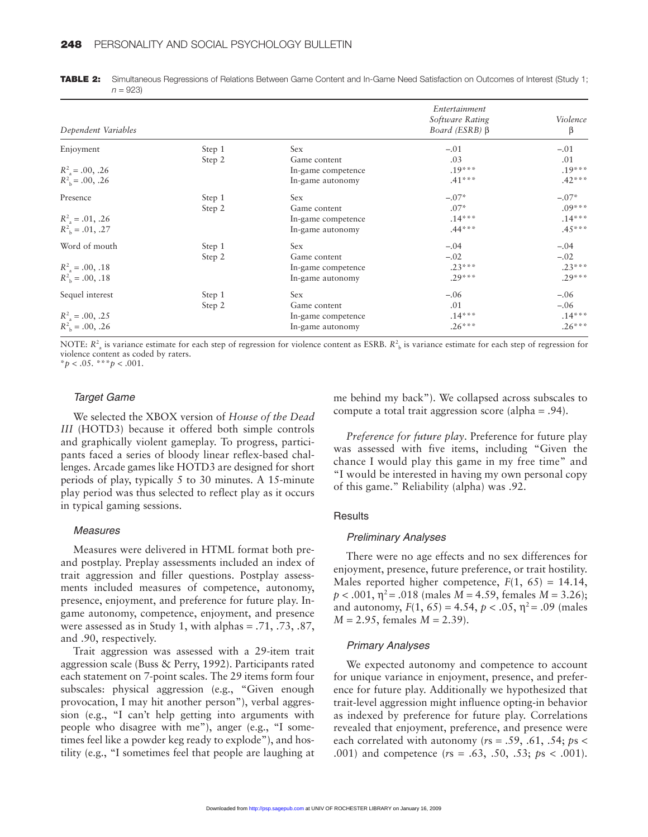| Dependent Variables           |        |                    | Entertainment<br>Software Rating<br>Board (ESRB) $\beta$ | Violence<br>β |
|-------------------------------|--------|--------------------|----------------------------------------------------------|---------------|
| Enjoyment                     | Step 1 | <b>Sex</b>         | $-.01$                                                   | $-.01$        |
|                               | Step 2 | Game content       | .03                                                      | .01           |
| $R^2$ <sub>a</sub> = .00, .26 |        | In-game competence | $.19***$                                                 | $.19***$      |
| $R^2_{h} = .00, .26$          |        | In-game autonomy   | $.41***$                                                 | $.42***$      |
| Presence                      | Step 1 | Sex                | $-.07*$                                                  | $-.07*$       |
|                               | Step 2 | Game content       | $.07*$                                                   | $.09***$      |
| $R^2$ <sub>2</sub> = .01, .26 |        | In-game competence | $.14***$                                                 | $.14***$      |
| $R_{h}^{2} = .01, .27$        |        | In-game autonomy   | $.44***$                                                 | $.45***$      |
| Word of mouth                 | Step 1 | Sex                | $-.04$                                                   | $-.04$        |
|                               | Step 2 | Game content       | $-.02$                                                   | $-.02$        |
| $R^2$ <sub>2</sub> = .00, .18 |        | In-game competence | $.23***$                                                 | $.23***$      |
| $R^2_{h} = .00, .18$          |        | In-game autonomy   | $.29***$                                                 | $.29***$      |
| Sequel interest               | Step 1 | Sex                | $-.06$                                                   | $-.06$        |
|                               | Step 2 | Game content       | .01                                                      | $-.06$        |
| $R^2$ <sub>a</sub> = .00, .25 |        | In-game competence | $.14***$                                                 | $.14***$      |
| $R^2_{h} = .00, .26$          |        | In-game autonomy   | $.26***$                                                 | $.26***$      |

**TABLE 2:** Simultaneous Regressions of Relations Between Game Content and In-Game Need Satisfaction on Outcomes of Interest (Study 1; *n* = 923)

NOTE:  $R^2$ <sub>a</sub> is variance estimate for each step of regression for violence content as ESRB.  $R^2$ <sub>b</sub> is variance estimate for each step of regression for violence content as coded by raters.

 $**p* < .05.$  \*\*\**p* < .001.

## *Target Game*

We selected the XBOX version of *House of the Dead III* (HOTD3) because it offered both simple controls and graphically violent gameplay. To progress, participants faced a series of bloody linear reflex-based challenges. Arcade games like HOTD3 are designed for short periods of play, typically 5 to 30 minutes. A 15-minute play period was thus selected to reflect play as it occurs in typical gaming sessions.

#### *Measures*

Measures were delivered in HTML format both preand postplay. Preplay assessments included an index of trait aggression and filler questions. Postplay assessments included measures of competence, autonomy, presence, enjoyment, and preference for future play. Ingame autonomy, competence, enjoyment, and presence were assessed as in Study 1, with alphas = .71, .73, .87, and .90, respectively.

Trait aggression was assessed with a 29-item trait aggression scale (Buss & Perry, 1992). Participants rated each statement on 7-point scales. The 29 items form four subscales: physical aggression (e.g., "Given enough provocation, I may hit another person"), verbal aggression (e.g., "I can't help getting into arguments with people who disagree with me"), anger (e.g., "I sometimes feel like a powder keg ready to explode"), and hostility (e.g., "I sometimes feel that people are laughing at me behind my back"). We collapsed across subscales to compute a total trait aggression score (alpha = .94).

*Preference for future play*. Preference for future play was assessed with five items, including "Given the chance I would play this game in my free time" and "I would be interested in having my own personal copy of this game." Reliability (alpha) was .92.

# **Results**

## *Preliminary Analyses*

There were no age effects and no sex differences for enjoyment, presence, future preference, or trait hostility. Males reported higher competence,  $F(1, 65) = 14.14$ ,  $p < .001$ ,  $\eta^2 = .018$  (males *M* = 4.59, females *M* = 3.26); and autonomy,  $F(1, 65) = 4.54$ ,  $p < .05$ ,  $\eta^2 = .09$  (males *M* = 2.95, females *M* = 2.39).

## *Primary Analyses*

We expected autonomy and competence to account for unique variance in enjoyment, presence, and preference for future play. Additionally we hypothesized that trait-level aggression might influence opting-in behavior as indexed by preference for future play. Correlations revealed that enjoyment, preference, and presence were each correlated with autonomy (*r*s = .59, .61, .54; *p*s < .001) and competence (*r*s = .63, .50, .53; *p*s < .001).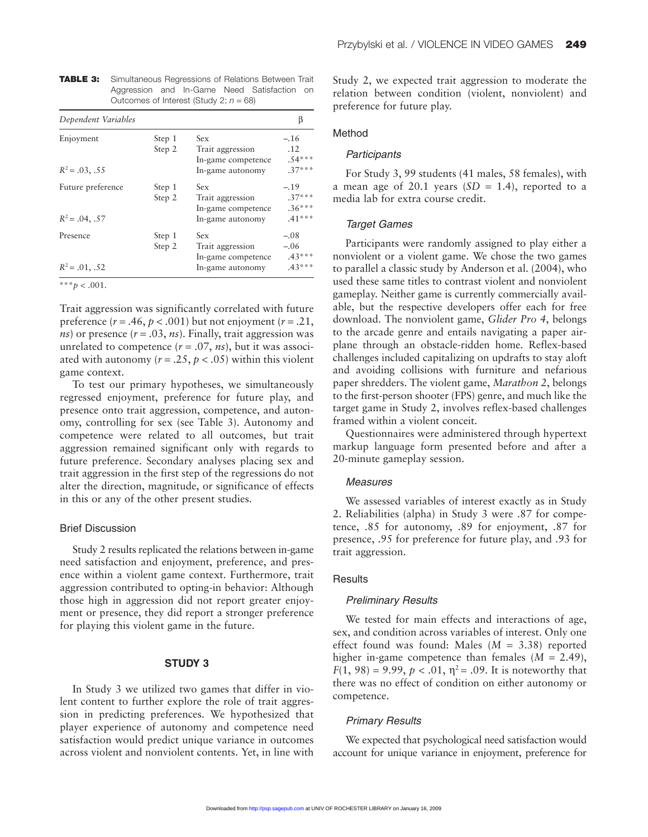| Dependent Variables |        |                    | β        |
|---------------------|--------|--------------------|----------|
| Enjoyment           | Step 1 | Sex                | $-.16$   |
|                     | Step 2 | Trait aggression   | .12      |
|                     |        | In-game competence | $.54***$ |
| $R^2 = .03, .55$    |        | In-game autonomy   | $.37***$ |
| Future preference   | Step 1 | Sex                | $-.19$   |
|                     | Step 2 | Trait aggression   | $.37***$ |
|                     |        | In-game competence | $.36***$ |
| $R^2 = .04, .57$    |        | In-game autonomy   | $.41***$ |
| Presence            | Step 1 | Sex                | $-.08$   |
|                     | Step 2 | Trait aggression   | $-.06$   |
|                     |        | In-game competence | $.43***$ |
| $R^2 = .01, .52$    |        | In-game autonomy   | $.43***$ |

**TABLE 3:** Simultaneous Regressions of Relations Between Trait Aggression and In-Game Need Satisfaction on Outcomes of Interest (Study 2; *n* = 68)

\*\*\**p* < .001.

Trait aggression was significantly correlated with future preference  $(r = .46, p < .001)$  but not enjoyment  $(r = .21,$ *ns*) or presence  $(r = .03, ns)$ . Finally, trait aggression was unrelated to competence  $(r = .07, ns)$ , but it was associated with autonomy ( $r = .25$ ,  $p < .05$ ) within this violent game context.

To test our primary hypotheses, we simultaneously regressed enjoyment, preference for future play, and presence onto trait aggression, competence, and autonomy, controlling for sex (see Table 3). Autonomy and competence were related to all outcomes, but trait aggression remained significant only with regards to future preference. Secondary analyses placing sex and trait aggression in the first step of the regressions do not alter the direction, magnitude, or significance of effects in this or any of the other present studies.

## Brief Discussion

Study 2 results replicated the relations between in-game need satisfaction and enjoyment, preference, and presence within a violent game context. Furthermore, trait aggression contributed to opting-in behavior: Although those high in aggression did not report greater enjoyment or presence, they did report a stronger preference for playing this violent game in the future.

# **STUDY 3**

In Study 3 we utilized two games that differ in violent content to further explore the role of trait aggression in predicting preferences. We hypothesized that player experience of autonomy and competence need satisfaction would predict unique variance in outcomes across violent and nonviolent contents. Yet, in line with Study 2, we expected trait aggression to moderate the relation between condition (violent, nonviolent) and preference for future play.

# Method

# *Participants*

For Study 3, 99 students (41 males, 58 females), with a mean age of 20.1 years  $(SD = 1.4)$ , reported to a media lab for extra course credit.

# *Target Games*

Participants were randomly assigned to play either a nonviolent or a violent game. We chose the two games to parallel a classic study by Anderson et al. (2004), who used these same titles to contrast violent and nonviolent gameplay. Neither game is currently commercially available, but the respective developers offer each for free download. The nonviolent game, *Glider Pro 4*, belongs to the arcade genre and entails navigating a paper airplane through an obstacle-ridden home. Reflex-based challenges included capitalizing on updrafts to stay aloft and avoiding collisions with furniture and nefarious paper shredders. The violent game, *Marathon 2*, belongs to the first-person shooter (FPS) genre, and much like the target game in Study 2, involves reflex-based challenges framed within a violent conceit.

Questionnaires were administered through hypertext markup language form presented before and after a 20-minute gameplay session.

## *Measures*

We assessed variables of interest exactly as in Study 2. Reliabilities (alpha) in Study 3 were .87 for competence, .85 for autonomy, .89 for enjoyment, .87 for presence, .95 for preference for future play, and .93 for trait aggression.

## **Results**

## *Preliminary Results*

We tested for main effects and interactions of age, sex, and condition across variables of interest. Only one effect found was found: Males (*M* = 3.38) reported higher in-game competence than females  $(M = 2.49)$ , *F*(1, 98) = 9.99,  $p < .01$ ,  $\eta^2$  = .09. It is noteworthy that there was no effect of condition on either autonomy or competence.

# *Primary Results*

We expected that psychological need satisfaction would account for unique variance in enjoyment, preference for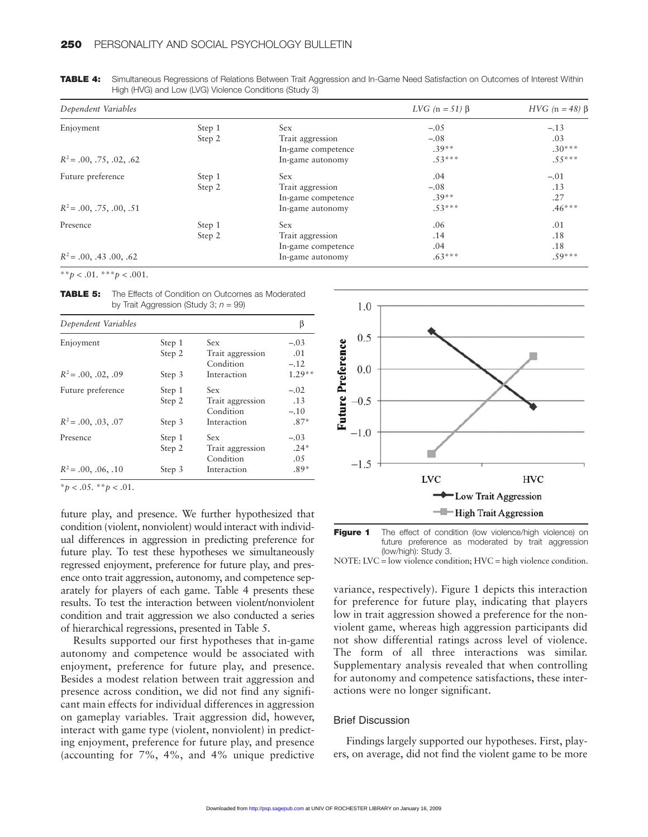| Dependent Variables        |        |                    | <i>LVG</i> ( $n = 51$ ) $\beta$ | $HVG$ (n = 48) $\beta$ |
|----------------------------|--------|--------------------|---------------------------------|------------------------|
| Enjoyment                  | Step 1 | Sex                | $-.05$                          | $-.13$                 |
|                            | Step 2 | Trait aggression   | $-.08$                          | .03                    |
|                            |        | In-game competence | $.39**$                         | $.30***$               |
| $R^2$ = .00, .75, .02, .62 |        | In-game autonomy   | $.53***$                        | $.55***$               |
| Future preference          | Step 1 | Sex                | .04                             | $-.01$                 |
|                            | Step 2 | Trait aggression   | $-.08$                          | .13                    |
|                            |        | In-game competence | $.39**$                         | .27                    |
| $R^2$ = .00, .75, .00, .51 |        | In-game autonomy   | $.53***$                        | $.46***$               |
| Presence                   | Step 1 | <b>Sex</b>         | .06                             | .01                    |
|                            | Step 2 | Trait aggression   | .14                             | .18                    |
|                            |        | In-game competence | .04                             | .18                    |
| $R^2 = .00, .43, .00, .62$ |        | In-game autonomy   | $.63***$                        | $.59***$               |

**TABLE 4:** Simultaneous Regressions of Relations Between Trait Aggression and In-Game Need Satisfaction on Outcomes of Interest Within High (HVG) and Low (LVG) Violence Conditions (Study 3)

\*\**p* < .01. \*\*\**p* < .001.

**TABLE 5:** The Effects of Condition on Outcomes as Moderated by Trait Aggression (Study 3; *n* = 99)

| Dependent Variables   |        |                  | β        |
|-----------------------|--------|------------------|----------|
| Enjoyment             | Step 1 | Sex              | $-.03$   |
|                       | Step 2 | Trait aggression | .01      |
|                       |        | Condition        | $-.12$   |
| $R^2 = .00, .02, .09$ | Step 3 | Interaction      | $1.29**$ |
| Future preference     | Step 1 | Sex              | $-.02$   |
|                       | Step 2 | Trait aggression | .13      |
|                       |        | Condition        | $-.10$   |
| $R^2$ = .00, .03, .07 | Step 3 | Interaction      | $.87*$   |
| Presence              | Step 1 | Sex              | $-.03$   |
|                       | Step 2 | Trait aggression | $.24*$   |
|                       |        | Condition        | .05      |
| $R^2 = .00, .06, .10$ | Step 3 | Interaction      | $.89*$   |

\**p* < .05. \*\**p* < .01.

future play, and presence. We further hypothesized that condition (violent, nonviolent) would interact with individual differences in aggression in predicting preference for future play. To test these hypotheses we simultaneously regressed enjoyment, preference for future play, and presence onto trait aggression, autonomy, and competence separately for players of each game. Table 4 presents these results. To test the interaction between violent/nonviolent condition and trait aggression we also conducted a series of hierarchical regressions, presented in Table 5.

Results supported our first hypotheses that in-game autonomy and competence would be associated with enjoyment, preference for future play, and presence. Besides a modest relation between trait aggression and presence across condition, we did not find any significant main effects for individual differences in aggression on gameplay variables. Trait aggression did, however, interact with game type (violent, nonviolent) in predicting enjoyment, preference for future play, and presence (accounting for 7%, 4%, and 4% unique predictive



**Figure 1** The effect of condition (low violence/high violence) on future preference as moderated by trait aggression (low/high): Study 3.

NOTE: LVC = low violence condition; HVC = high violence condition.

variance, respectively). Figure 1 depicts this interaction for preference for future play, indicating that players low in trait aggression showed a preference for the nonviolent game, whereas high aggression participants did not show differential ratings across level of violence. The form of all three interactions was similar. Supplementary analysis revealed that when controlling for autonomy and competence satisfactions, these interactions were no longer significant.

# Brief Discussion

Findings largely supported our hypotheses. First, players, on average, did not find the violent game to be more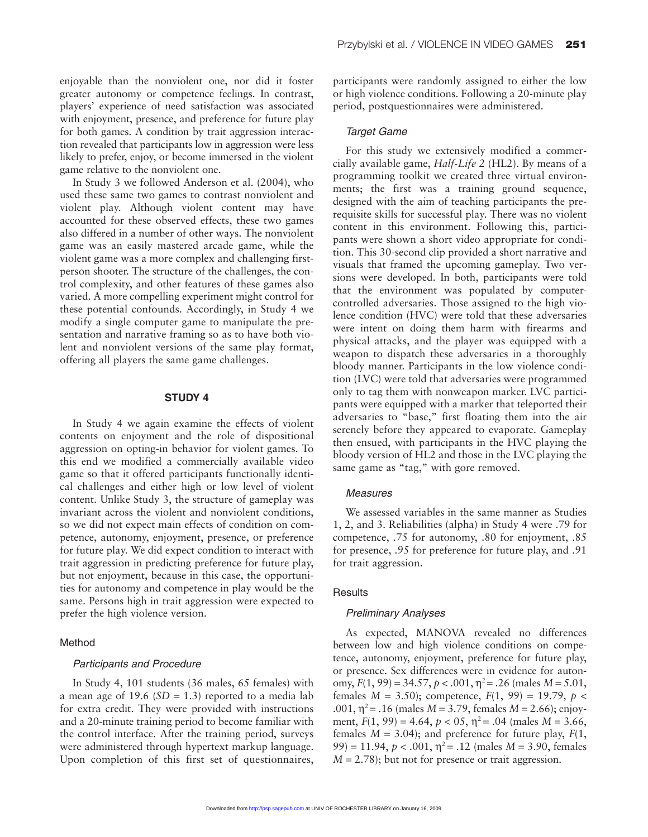enjoyable than the nonviolent one, nor did it foster greater autonomy or competence feelings. In contrast, players' experience of need satisfaction was associated with enjoyment, presence, and preference for future play for both games. A condition by trait aggression interaction revealed that participants low in aggression were less likely to prefer, enjoy, or become immersed in the violent game relative to the nonviolent one.

In Study 3 we followed Anderson et al. (2004), who used these same two games to contrast nonviolent and violent play. Although violent content may have accounted for these observed effects, these two games also differed in a number of other ways. The nonviolent game was an easily mastered arcade game, while the violent game was a more complex and challenging firstperson shooter. The structure of the challenges, the control complexity, and other features of these games also varied. A more compelling experiment might control for these potential confounds. Accordingly, in Study 4 we modify a single computer game to manipulate the presentation and narrative framing so as to have both violent and nonviolent versions of the same play format, offering all players the same game challenges.

# **STUDY 4**

In Study 4 we again examine the effects of violent contents on enjoyment and the role of dispositional aggression on opting-in behavior for violent games. To this end we modified a commercially available video game so that it offered participants functionally identical challenges and either high or low level of violent content. Unlike Study 3, the structure of gameplay was invariant across the violent and nonviolent conditions, so we did not expect main effects of condition on competence, autonomy, enjoyment, presence, or preference for future play. We did expect condition to interact with trait aggression in predicting preference for future play, but not enjoyment, because in this case, the opportunities for autonomy and competence in play would be the same. Persons high in trait aggression were expected to prefer the high violence version.

# Method

## *Participants and Procedure*

In Study 4, 101 students (36 males, 65 females) with a mean age of 19.6  $(SD = 1.3)$  reported to a media lab for extra credit. They were provided with instructions and a 20-minute training period to become familiar with the control interface. After the training period, surveys were administered through hypertext markup language. Upon completion of this first set of questionnaires, participants were randomly assigned to either the low or high violence conditions. Following a 20-minute play period, postquestionnaires were administered.

# *Target Game*

For this study we extensively modified a commercially available game, *Half-Life 2* (HL2). By means of a programming toolkit we created three virtual environments; the first was a training ground sequence, designed with the aim of teaching participants the prerequisite skills for successful play. There was no violent content in this environment. Following this, participants were shown a short video appropriate for condition. This 30-second clip provided a short narrative and visuals that framed the upcoming gameplay. Two versions were developed. In both, participants were told that the environment was populated by computercontrolled adversaries. Those assigned to the high violence condition (HVC) were told that these adversaries were intent on doing them harm with firearms and physical attacks, and the player was equipped with a weapon to dispatch these adversaries in a thoroughly bloody manner. Participants in the low violence condition (LVC) were told that adversaries were programmed only to tag them with nonweapon marker. LVC participants were equipped with a marker that teleported their adversaries to "base," first floating them into the air serenely before they appeared to evaporate. Gameplay then ensued, with participants in the HVC playing the bloody version of HL2 and those in the LVC playing the same game as "tag," with gore removed.

## *Measures*

We assessed variables in the same manner as Studies 1, 2, and 3. Reliabilities (alpha) in Study 4 were .79 for competence, .75 for autonomy, .80 for enjoyment, .85 for presence, .95 for preference for future play, and .91 for trait aggression.

# **Results**

## *Preliminary Analyses*

As expected, MANOVA revealed no differences between low and high violence conditions on competence, autonomy, enjoyment, preference for future play, or presence. Sex differences were in evidence for autonomy,  $F(1, 99) = 34.57$ ,  $p < .001$ ,  $\eta^2 = .26$  (males  $M = 5.01$ , females *M* = 3.50); competence, *F*(1, 99) = 19.79, *p* < .001,  $\eta^2$  = .16 (males *M* = 3.79, females *M* = 2.66); enjoyment,  $F(1, 99) = 4.64$ ,  $p < 0.5$ ,  $\eta^2 = .04$  (males  $M = 3.66$ , females  $M = 3.04$ ; and preference for future play,  $F(1, 1)$ 99) = 11.94,  $p < .001$ ,  $\eta^2$  = .12 (males *M* = 3.90, females *M* = 2.78); but not for presence or trait aggression.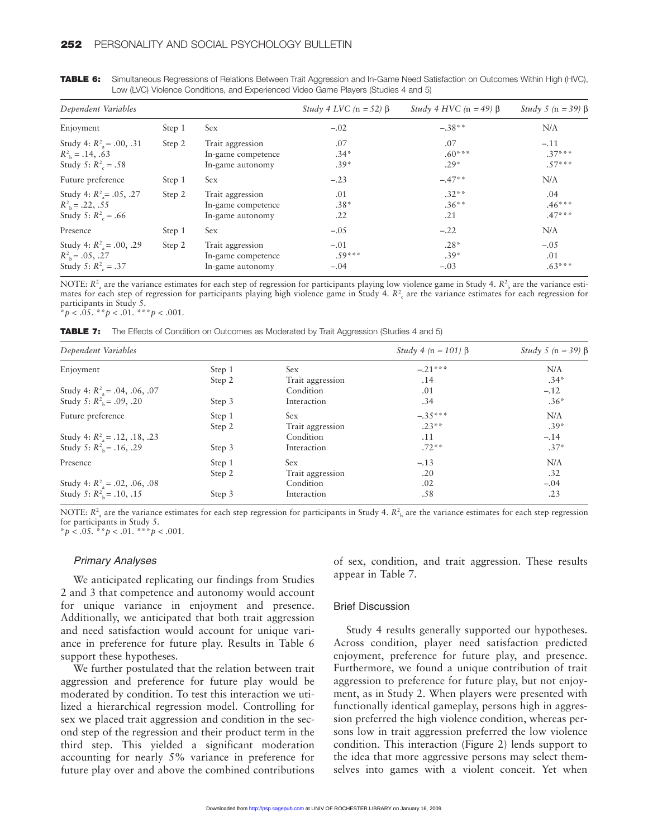| Dependent Variables                                                       |        |                                                            | <i>Study</i> 4 <i>LVC</i> ( $n = 52$ ) $\beta$ | <i>Study</i> 4 HVC ( $n = 49$ ) $\beta$ | Study 5 (n = 39) $\beta$       |
|---------------------------------------------------------------------------|--------|------------------------------------------------------------|------------------------------------------------|-----------------------------------------|--------------------------------|
| Enjoyment                                                                 | Step 1 | <b>Sex</b>                                                 | $-.02$                                         | $-.38**$                                | N/A                            |
| Study 4: $R^2 = .00, .31$<br>$R^2_{h} = .14, .63$<br>Study 5: $R^2 = .58$ | Step 2 | Trait aggression<br>In-game competence<br>In-game autonomy | .07<br>$.34*$<br>$.39*$                        | .07<br>$.60***$<br>$.29*$               | $-.11$<br>$.37***$<br>$.57***$ |
| Future preference                                                         | Step 1 | Sex.                                                       | $-.23$                                         | $-.47**$                                | N/A                            |
| Study 4: $R^2 = .05, .27$<br>$R^2_{h} = .22, .55$<br>Study 5: $R^2 = .66$ | Step 2 | Trait aggression<br>In-game competence<br>In-game autonomy | .01<br>$.38*$<br>.22                           | $.32**$<br>$.36***$<br>.21              | .04<br>$.46***$<br>$.47***$    |
| Presence                                                                  | Step 1 | Sex                                                        | $-.05$                                         | $-.22$                                  | N/A                            |
| Study 4: $R^2 = .00, .29$<br>$R^2_{h} = .05, .27$<br>Study 5: $R^2 = .37$ | Step 2 | Trait aggression<br>In-game competence<br>In-game autonomy | $-.01$<br>$.59***$<br>$-.04$                   | $.28*$<br>$.39*$<br>$-.03$              | $-.05$<br>.01<br>$.63***$      |

**TABLE 6:** Simultaneous Regressions of Relations Between Trait Aggression and In-Game Need Satisfaction on Outcomes Within High (HVC), Low (LVC) Violence Conditions, and Experienced Video Game Players (Studies 4 and 5)

NOTE:  $R^2$ <sub>a</sub> are the variance estimates for each step of regression for participants playing low violence game in Study 4.  $R^2$ <sub>b</sub> are the variance estimates for each step of regression for participants playing high violence game in Study 4.  $R<sup>2</sup>$  are the variance estimates for each regression for participants in Study 5.

\**p* < .05. \*\**p* < .01. \*\*\**p* < .001.

**TABLE 7:** The Effects of Condition on Outcomes as Moderated by Trait Aggression (Studies 4 and 5)

| Dependent Variables            |        |                  | Study 4 (n = 101) $\beta$ | Study 5 (n = 39) $\beta$ |
|--------------------------------|--------|------------------|---------------------------|--------------------------|
| Enjoyment                      | Step 1 | Sex              | $-.21***$                 | N/A                      |
|                                | Step 2 | Trait aggression | .14                       | $.34*$                   |
| Study 4: $R^2 = .04, .06, .07$ |        | Condition        | .01                       | $-.12$                   |
| Study 5: $R^2 = .09, .20$      | Step 3 | Interaction      | .34                       | $.36*$                   |
| Future preference              | Step 1 | <b>Sex</b>       | $-.35***$                 | N/A                      |
|                                | Step 2 | Trait aggression | $.23**$                   | $.39*$                   |
| Study 4: $R^2 = .12, .18, .23$ |        | Condition        | .11                       | $-.14$                   |
| Study 5: $R^2 = .16, .29$      | Step 3 | Interaction      | $.72**$                   | $.37*$                   |
| Presence                       | Step 1 | <b>Sex</b>       | $-.13$                    | N/A                      |
|                                | Step 2 | Trait aggression | .20                       | .32                      |
| Study 4: $R^2 = .02, .06, .08$ |        | Condition        | .02                       | $-.04$                   |
| Study 5: $R^2 = .10, .15$      | Step 3 | Interaction      | .58                       | .23                      |

NOTE:  $R^2$ <sub>a</sub> are the variance estimates for each step regression for participants in Study 4.  $R^2$ <sub>b</sub> are the variance estimates for each step regression for participants in Study 5.

\**p* < .05. \*\**p* < .01. \*\*\**p* < .001.

#### *Primary Analyses*

We anticipated replicating our findings from Studies 2 and 3 that competence and autonomy would account for unique variance in enjoyment and presence. Additionally, we anticipated that both trait aggression and need satisfaction would account for unique variance in preference for future play. Results in Table 6 support these hypotheses.

We further postulated that the relation between trait aggression and preference for future play would be moderated by condition. To test this interaction we utilized a hierarchical regression model. Controlling for sex we placed trait aggression and condition in the second step of the regression and their product term in the third step. This yielded a significant moderation accounting for nearly 5% variance in preference for future play over and above the combined contributions of sex, condition, and trait aggression. These results appear in Table 7.

## Brief Discussion

Study 4 results generally supported our hypotheses. Across condition, player need satisfaction predicted enjoyment, preference for future play, and presence. Furthermore, we found a unique contribution of trait aggression to preference for future play, but not enjoyment, as in Study 2. When players were presented with functionally identical gameplay, persons high in aggression preferred the high violence condition, whereas persons low in trait aggression preferred the low violence condition. This interaction (Figure 2) lends support to the idea that more aggressive persons may select themselves into games with a violent conceit. Yet when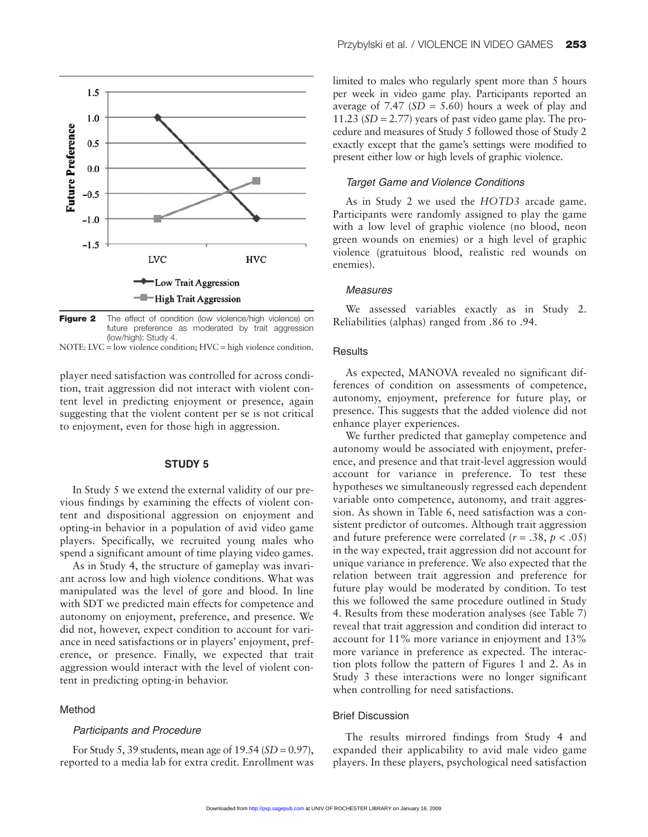

**Figure 2** The effect of condition (low violence/high violence) on future preference as moderated by trait aggression (low/high): Study 4.

NOTE: LVC = low violence condition; HVC = high violence condition.

player need satisfaction was controlled for across condition, trait aggression did not interact with violent content level in predicting enjoyment or presence, again suggesting that the violent content per se is not critical to enjoyment, even for those high in aggression.

# **STUDY 5**

In Study 5 we extend the external validity of our previous findings by examining the effects of violent content and dispositional aggression on enjoyment and opting-in behavior in a population of avid video game players. Specifically, we recruited young males who spend a significant amount of time playing video games.

As in Study 4, the structure of gameplay was invariant across low and high violence conditions. What was manipulated was the level of gore and blood. In line with SDT we predicted main effects for competence and autonomy on enjoyment, preference, and presence. We did not, however, expect condition to account for variance in need satisfactions or in players' enjoyment, preference, or presence. Finally, we expected that trait aggression would interact with the level of violent content in predicting opting-in behavior.

# Method

#### *Participants and Procedure*

For Study 5, 39 students, mean age of 19.54 (*SD* = 0.97), reported to a media lab for extra credit. Enrollment was limited to males who regularly spent more than 5 hours per week in video game play. Participants reported an average of  $7.47$  ( $SD = 5.60$ ) hours a week of play and 11.23  $(SD = 2.77)$  years of past video game play. The procedure and measures of Study 5 followed those of Study 2 exactly except that the game's settings were modified to present either low or high levels of graphic violence.

## *Target Game and Violence Conditions*

As in Study 2 we used the *HOTD3* arcade game. Participants were randomly assigned to play the game with a low level of graphic violence (no blood, neon green wounds on enemies) or a high level of graphic violence (gratuitous blood, realistic red wounds on enemies).

# *Measures*

We assessed variables exactly as in Study 2. Reliabilities (alphas) ranged from .86 to .94.

## **Results**

As expected, MANOVA revealed no significant differences of condition on assessments of competence, autonomy, enjoyment, preference for future play, or presence. This suggests that the added violence did not enhance player experiences.

We further predicted that gameplay competence and autonomy would be associated with enjoyment, preference, and presence and that trait-level aggression would account for variance in preference. To test these hypotheses we simultaneously regressed each dependent variable onto competence, autonomy, and trait aggression. As shown in Table 6, need satisfaction was a consistent predictor of outcomes. Although trait aggression and future preference were correlated  $(r = .38, p < .05)$ in the way expected, trait aggression did not account for unique variance in preference. We also expected that the relation between trait aggression and preference for future play would be moderated by condition. To test this we followed the same procedure outlined in Study 4. Results from these moderation analyses (see Table 7) reveal that trait aggression and condition did interact to account for 11% more variance in enjoyment and 13% more variance in preference as expected. The interaction plots follow the pattern of Figures 1 and 2. As in Study 3 these interactions were no longer significant when controlling for need satisfactions.

# Brief Discussion

The results mirrored findings from Study 4 and expanded their applicability to avid male video game players. In these players, psychological need satisfaction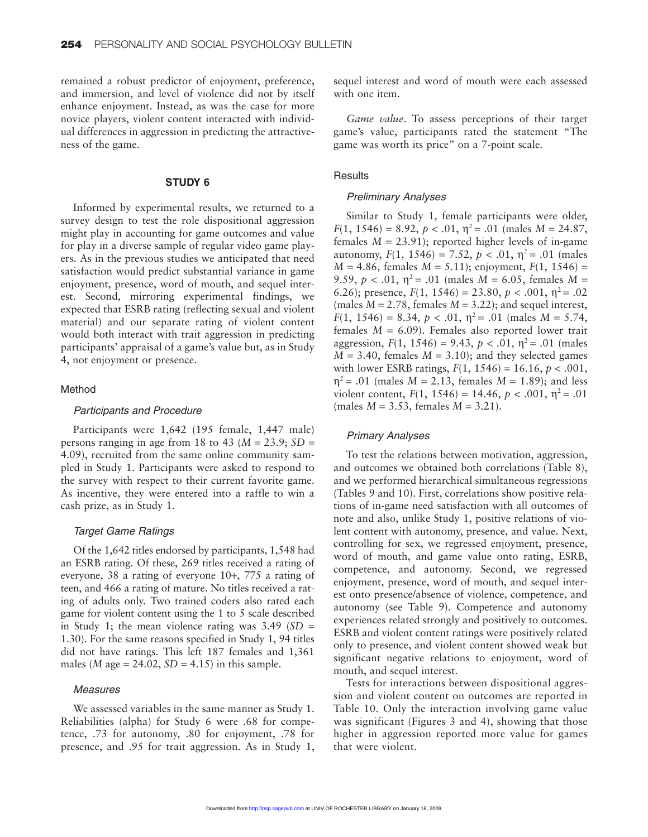remained a robust predictor of enjoyment, preference, and immersion, and level of violence did not by itself enhance enjoyment. Instead, as was the case for more novice players, violent content interacted with individual differences in aggression in predicting the attractiveness of the game.

# **STUDY 6**

Informed by experimental results, we returned to a survey design to test the role dispositional aggression might play in accounting for game outcomes and value for play in a diverse sample of regular video game players. As in the previous studies we anticipated that need satisfaction would predict substantial variance in game enjoyment, presence, word of mouth, and sequel interest. Second, mirroring experimental findings, we expected that ESRB rating (reflecting sexual and violent material) and our separate rating of violent content would both interact with trait aggression in predicting participants' appraisal of a game's value but, as in Study 4, not enjoyment or presence.

#### Method

#### *Participants and Procedure*

Participants were 1,642 (195 female, 1,447 male) persons ranging in age from 18 to 43 ( $M = 23.9$ ;  $SD =$ 4.09), recruited from the same online community sampled in Study 1. Participants were asked to respond to the survey with respect to their current favorite game. As incentive, they were entered into a raffle to win a cash prize, as in Study 1.

#### *Target Game Ratings*

Of the 1,642 titles endorsed by participants, 1,548 had an ESRB rating. Of these, 269 titles received a rating of everyone, 38 a rating of everyone 10+, 775 a rating of teen, and 466 a rating of mature. No titles received a rating of adults only. Two trained coders also rated each game for violent content using the 1 to 5 scale described in Study 1; the mean violence rating was 3.49 (*SD* = 1.30). For the same reasons specified in Study 1, 94 titles did not have ratings. This left 187 females and 1,361 males (*M* age = 24.02, *SD* = 4.15) in this sample.

#### *Measures*

We assessed variables in the same manner as Study 1. Reliabilities (alpha) for Study 6 were .68 for competence, .73 for autonomy, .80 for enjoyment, .78 for presence, and .95 for trait aggression. As in Study 1,

sequel interest and word of mouth were each assessed with one item.

*Game value*. To assess perceptions of their target game's value, participants rated the statement "The game was worth its price" on a 7-point scale.

#### **Results**

## *Preliminary Analyses*

Similar to Study 1, female participants were older, *F*(1, 1546) = 8.92,  $p < .01$ ,  $\eta^2$  = .01 (males *M* = 24.87, females  $M = 23.91$ ; reported higher levels of in-game autonomy,  $F(1, 1546) = 7.52$ ,  $p < .01$ ,  $\eta^2 = .01$  (males  $M = 4.86$ , females  $M = 5.11$ ; enjoyment,  $F(1, 1546) =$ 9.59,  $p < .01$ ,  $\eta^2 = .01$  (males  $M = 6.05$ , females  $M =$ 6.26); presence,  $F(1, 1546) = 23.80$ ,  $p < .001$ ,  $p<sup>2</sup> = .02$ (males  $M = 2.78$ , females  $M = 3.22$ ); and sequel interest, *F*(1, 1546) = 8.34,  $p < .01$ ,  $\eta^2$  = .01 (males *M* = 5.74, females  $M = 6.09$ ). Females also reported lower trait aggression,  $F(1, 1546) = 9.43$ ,  $p < .01$ ,  $\eta^2 = .01$  (males  $M = 3.40$ , females  $M = 3.10$ ; and they selected games with lower ESRB ratings, *F*(1, 1546) = 16.16, *p* < .001,  $\eta^2$  = .01 (males *M* = 2.13, females *M* = 1.89); and less violent content,  $F(1, 1546) = 14.46$ ,  $p < .001$ ,  $p^2 = .01$ (males *M* = 3.53, females *M* = 3.21).

## *Primary Analyses*

To test the relations between motivation, aggression, and outcomes we obtained both correlations (Table 8), and we performed hierarchical simultaneous regressions (Tables 9 and 10). First, correlations show positive relations of in-game need satisfaction with all outcomes of note and also, unlike Study 1, positive relations of violent content with autonomy, presence, and value. Next, controlling for sex, we regressed enjoyment, presence, word of mouth, and game value onto rating, ESRB, competence, and autonomy. Second, we regressed enjoyment, presence, word of mouth, and sequel interest onto presence/absence of violence, competence, and autonomy (see Table 9). Competence and autonomy experiences related strongly and positively to outcomes. ESRB and violent content ratings were positively related only to presence, and violent content showed weak but significant negative relations to enjoyment, word of mouth, and sequel interest.

Tests for interactions between dispositional aggression and violent content on outcomes are reported in Table 10. Only the interaction involving game value was significant (Figures 3 and 4), showing that those higher in aggression reported more value for games that were violent.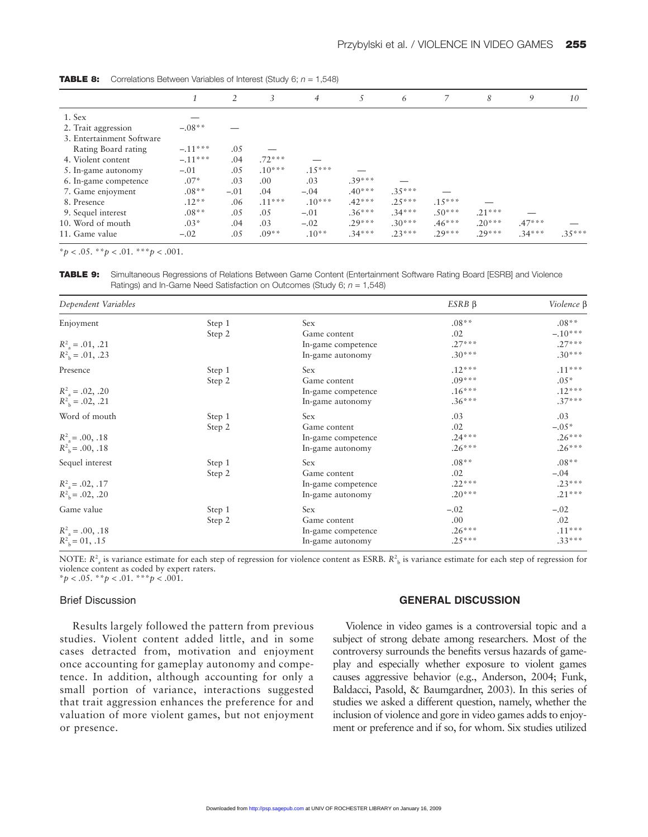|                           |           | 2      | 3        | 4        |          | 6        |          | 8        | 9        | 10       |
|---------------------------|-----------|--------|----------|----------|----------|----------|----------|----------|----------|----------|
| 1. Sex                    |           |        |          |          |          |          |          |          |          |          |
| 2. Trait aggression       | $-.08**$  |        |          |          |          |          |          |          |          |          |
| 3. Entertainment Software |           |        |          |          |          |          |          |          |          |          |
| Rating Board rating       | $-.11***$ | .05    |          |          |          |          |          |          |          |          |
| 4. Violent content        | $-.11***$ | .04    | $.72***$ |          |          |          |          |          |          |          |
| 5. In-game autonomy       | $-.01$    | .05    | $.10***$ | $.15***$ |          |          |          |          |          |          |
| 6. In-game competence     | $.07*$    | .03    | .00      | .03      | $.39***$ |          |          |          |          |          |
| 7. Game enjoyment         | $.08**$   | $-.01$ | .04      | $-.04$   | $.40***$ | $.35***$ |          |          |          |          |
| 8. Presence               | $.12**$   | .06    | $.11***$ | $.10***$ | $.42***$ | $.25***$ | $.15***$ |          |          |          |
| 9. Sequel interest        | $.08**$   | .05    | .05      | $-.01$   | $.36***$ | $.34***$ | $.50***$ | $.21***$ |          |          |
| 10. Word of mouth         | $.03*$    | .04    | .03      | $-.02$   | $.29***$ | $.30***$ | $.46***$ | $.20***$ | $.47***$ |          |
| 11. Game value            | $-.02$    | .05    | $.09**$  | $.10**$  | $.34***$ | $.23***$ | $29***$  | $29***$  | $.34***$ | $.35***$ |

**TABLE 8:** Correlations Between Variables of Interest (Study 6; *n* = 1,548)

\**p* < .05. \*\**p* < .01. \*\*\**p* < .001.

**TABLE 9:** Simultaneous Regressions of Relations Between Game Content (Entertainment Software Rating Board [ESRB] and Violence Ratings) and In-Game Need Satisfaction on Outcomes (Study 6; *n* = 1,548)

| Dependent Variables                                           |                  |                                                                      | $ESRB$ $\beta$                               | Violence $\beta$                             |
|---------------------------------------------------------------|------------------|----------------------------------------------------------------------|----------------------------------------------|----------------------------------------------|
| Enjoyment<br>$R^2$ = .01, .21<br>$R^2_{h} = .01, .23$         | Step 1<br>Step 2 | Sex<br>Game content<br>In-game competence<br>In-game autonomy        | $.08**$<br>.02<br>$.27***$<br>$.30***$       | $.08**$<br>$-.10***$<br>$.27***$<br>$.30***$ |
| Presence<br>$R^2$ = .02, .20<br>$R^2$ <sub>b</sub> = .02, .21 | Step 1<br>Step 2 | Sex<br>Game content<br>In-game competence<br>In-game autonomy        | $.12***$<br>$.09***$<br>$.16***$<br>$.36***$ | $.11***$<br>$.05*$<br>$.12***$<br>$.37***$   |
| Word of mouth<br>$R^2 = .00, .18$<br>$R^2_{h} = .00, .18$     | Step 1<br>Step 2 | Sex<br>Game content<br>In-game competence<br>In-game autonomy        | .03<br>.02<br>$.24***$<br>$.26***$           | .03<br>$-.05*$<br>$.26***$<br>$.26***$       |
| Sequel interest<br>$R^2 = .02, .17$<br>$R^2_{h} = .02, .20$   | Step 1<br>Step 2 | <b>Sex</b><br>Game content<br>In-game competence<br>In-game autonomy | $.08**$<br>.02<br>$.22***$<br>$.20***$       | $.08**$<br>$-.04$<br>$.23***$<br>$.21***$    |
| Game value<br>$R^2$ = .00, .18<br>$R^2_{h} = 01, .15$         | Step 1<br>Step 2 | <b>Sex</b><br>Game content<br>In-game competence<br>In-game autonomy | $-.02$<br>.00<br>$.26***$<br>$.25***$        | $-.02$<br>.02<br>$.11***$<br>$.33***$        |

NOTE:  $R^2$ <sub>a</sub> is variance estimate for each step of regression for violence content as ESRB.  $R^2$ <sub>b</sub> is variance estimate for each step of regression for violence content as coded by expert raters.

\**p* < .05. \*\**p* < .01. \*\*\**p* < .001.

# Brief Discussion

Results largely followed the pattern from previous studies. Violent content added little, and in some cases detracted from, motivation and enjoyment once accounting for gameplay autonomy and competence. In addition, although accounting for only a small portion of variance, interactions suggested that trait aggression enhances the preference for and valuation of more violent games, but not enjoyment or presence.

# **GENERAL DISCUSSION**

Violence in video games is a controversial topic and a subject of strong debate among researchers. Most of the controversy surrounds the benefits versus hazards of gameplay and especially whether exposure to violent games causes aggressive behavior (e.g., Anderson, 2004; Funk, Baldacci, Pasold, & Baumgardner, 2003). In this series of studies we asked a different question, namely, whether the inclusion of violence and gore in video games adds to enjoyment or preference and if so, for whom. Six studies utilized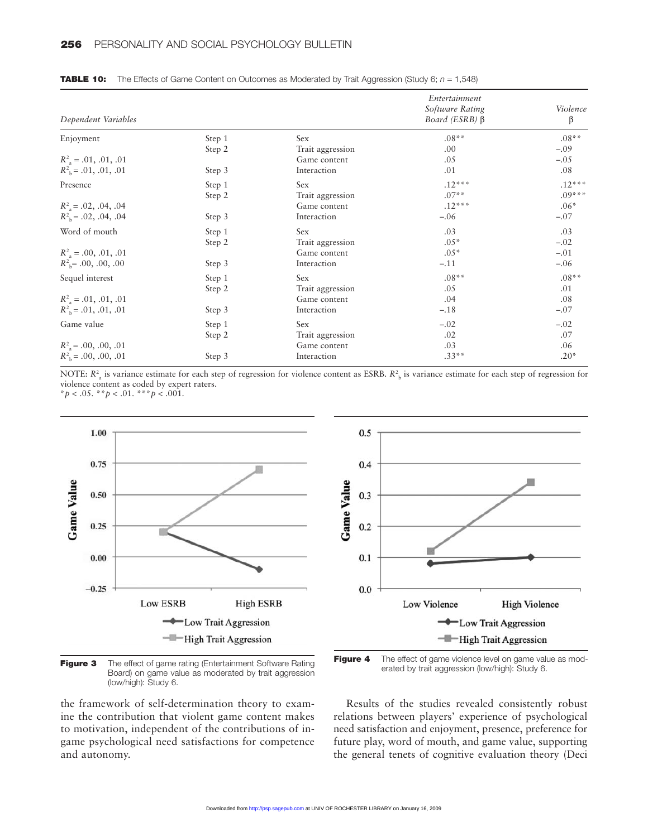| Dependent Variables                |        |                  | Entertainment<br>Software Rating<br>Board (ESRB) $\beta$ | Violence<br>β |
|------------------------------------|--------|------------------|----------------------------------------------------------|---------------|
| Enjoyment                          | Step 1 | Sex              | $.08**$                                                  | $.08**$       |
|                                    | Step 2 | Trait aggression | .00                                                      | $-.09$        |
| $R^2$ <sub>2</sub> = .01, .01, .01 |        | Game content     | .05                                                      | $-.05$        |
| $R^2_{b} = .01, .01, .01$          | Step 3 | Interaction      | .01                                                      | .08           |
| Presence                           | Step 1 | <b>Sex</b>       | $.12***$                                                 | $.12***$      |
|                                    | Step 2 | Trait aggression | $.07**$                                                  | $.09***$      |
| $R^2 = .02, .04, .04$              |        | Game content     | $.12***$                                                 | $.06*$        |
| $R^2$ <sub>b</sub> = .02, .04, .04 | Step 3 | Interaction      | $-.06$                                                   | $-.07$        |
| Word of mouth                      | Step 1 | Sex              | .03                                                      | .03           |
|                                    | Step 2 | Trait aggression | $.05*$                                                   | $-.02$        |
| $R^2 = .00, .01, .01$              |        | Game content     | $.05*$                                                   | $-.01$        |
| $R^2 = .00, .00, .00$              | Step 3 | Interaction      | $-.11$                                                   | $-.06$        |
| Sequel interest                    | Step 1 | Sex              | $.08**$                                                  | $.08**$       |
|                                    | Step 2 | Trait aggression | .05                                                      | .01           |
| $R^2 = .01, .01, .01$              |        | Game content     | .04                                                      | .08           |
| $R^2_{h} = .01, .01, .01$          | Step 3 | Interaction      | $-.18$                                                   | $-.07$        |
| Game value                         | Step 1 | <b>Sex</b>       | $-.02$                                                   | $-.02$        |
|                                    | Step 2 | Trait aggression | .02                                                      | .07           |
| $R^2 = .00, .00, .01$              |        | Game content     | .03                                                      | .06           |
| $R^2$ <sub>b</sub> = .00, .00, .01 | Step 3 | Interaction      | $.33**$                                                  | $.20*$        |

**TABLE 10:** The Effects of Game Content on Outcomes as Moderated by Trait Aggression (Study 6; *n* = 1,548)

NOTE:  $R^2$  is variance estimate for each step of regression for violence content as ESRB.  $R^2$  is variance estimate for each step of regression for violence content as coded by expert raters. \**p* < .05. \*\**p* < .01. \*\*\**p* < .001.



Figure 3 The effect of game rating (Entertainment Software Rating Board) on game value as moderated by trait aggression (low/high): Study 6.

the framework of self-determination theory to examine the contribution that violent game content makes to motivation, independent of the contributions of ingame psychological need satisfactions for competence and autonomy.



**Figure 4** The effect of game violence level on game value as moderated by trait aggression (low/high): Study 6.

Results of the studies revealed consistently robust relations between players' experience of psychological need satisfaction and enjoyment, presence, preference for future play, word of mouth, and game value, supporting the general tenets of cognitive evaluation theory (Deci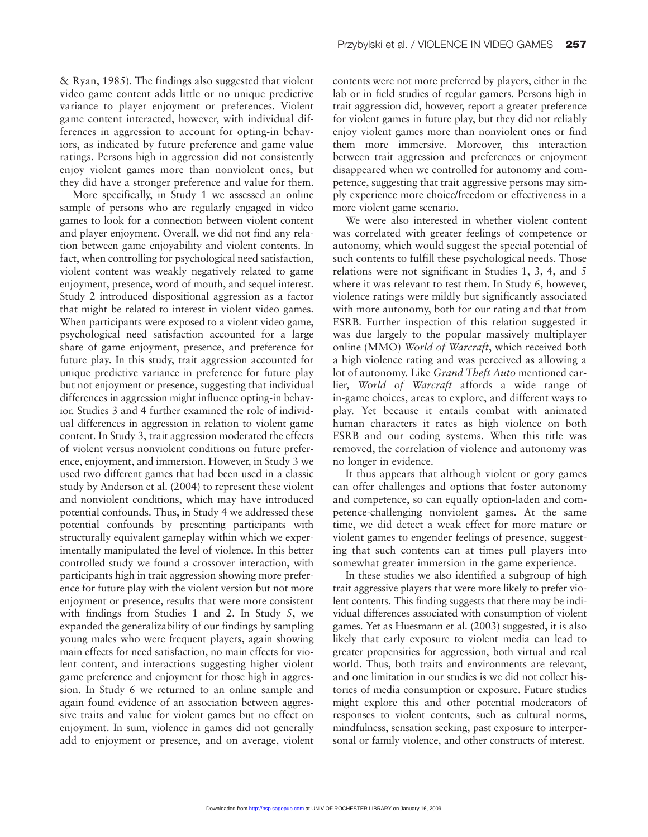& Ryan, 1985). The findings also suggested that violent video game content adds little or no unique predictive variance to player enjoyment or preferences. Violent game content interacted, however, with individual differences in aggression to account for opting-in behaviors, as indicated by future preference and game value ratings. Persons high in aggression did not consistently enjoy violent games more than nonviolent ones, but they did have a stronger preference and value for them.

More specifically, in Study 1 we assessed an online sample of persons who are regularly engaged in video games to look for a connection between violent content and player enjoyment. Overall, we did not find any relation between game enjoyability and violent contents. In fact, when controlling for psychological need satisfaction, violent content was weakly negatively related to game enjoyment, presence, word of mouth, and sequel interest. Study 2 introduced dispositional aggression as a factor that might be related to interest in violent video games. When participants were exposed to a violent video game, psychological need satisfaction accounted for a large share of game enjoyment, presence, and preference for future play. In this study, trait aggression accounted for unique predictive variance in preference for future play but not enjoyment or presence, suggesting that individual differences in aggression might influence opting-in behavior. Studies 3 and 4 further examined the role of individual differences in aggression in relation to violent game content. In Study 3, trait aggression moderated the effects of violent versus nonviolent conditions on future preference, enjoyment, and immersion. However, in Study 3 we used two different games that had been used in a classic study by Anderson et al. (2004) to represent these violent and nonviolent conditions, which may have introduced potential confounds. Thus, in Study 4 we addressed these potential confounds by presenting participants with structurally equivalent gameplay within which we experimentally manipulated the level of violence. In this better controlled study we found a crossover interaction, with participants high in trait aggression showing more preference for future play with the violent version but not more enjoyment or presence, results that were more consistent with findings from Studies 1 and 2. In Study 5, we expanded the generalizability of our findings by sampling young males who were frequent players, again showing main effects for need satisfaction, no main effects for violent content, and interactions suggesting higher violent game preference and enjoyment for those high in aggression. In Study 6 we returned to an online sample and again found evidence of an association between aggressive traits and value for violent games but no effect on enjoyment. In sum, violence in games did not generally add to enjoyment or presence, and on average, violent contents were not more preferred by players, either in the lab or in field studies of regular gamers. Persons high in trait aggression did, however, report a greater preference for violent games in future play, but they did not reliably enjoy violent games more than nonviolent ones or find them more immersive. Moreover, this interaction between trait aggression and preferences or enjoyment disappeared when we controlled for autonomy and competence, suggesting that trait aggressive persons may simply experience more choice/freedom or effectiveness in a more violent game scenario.

We were also interested in whether violent content was correlated with greater feelings of competence or autonomy, which would suggest the special potential of such contents to fulfill these psychological needs. Those relations were not significant in Studies 1, 3, 4, and 5 where it was relevant to test them. In Study 6, however, violence ratings were mildly but significantly associated with more autonomy, both for our rating and that from ESRB. Further inspection of this relation suggested it was due largely to the popular massively multiplayer online (MMO) *World of Warcraft*, which received both a high violence rating and was perceived as allowing a lot of autonomy. Like *Grand Theft Auto* mentioned earlier, *World of Warcraft* affords a wide range of in-game choices, areas to explore, and different ways to play. Yet because it entails combat with animated human characters it rates as high violence on both ESRB and our coding systems. When this title was removed, the correlation of violence and autonomy was no longer in evidence.

It thus appears that although violent or gory games can offer challenges and options that foster autonomy and competence, so can equally option-laden and competence-challenging nonviolent games. At the same time, we did detect a weak effect for more mature or violent games to engender feelings of presence, suggesting that such contents can at times pull players into somewhat greater immersion in the game experience.

In these studies we also identified a subgroup of high trait aggressive players that were more likely to prefer violent contents. This finding suggests that there may be individual differences associated with consumption of violent games. Yet as Huesmann et al. (2003) suggested, it is also likely that early exposure to violent media can lead to greater propensities for aggression, both virtual and real world. Thus, both traits and environments are relevant, and one limitation in our studies is we did not collect histories of media consumption or exposure. Future studies might explore this and other potential moderators of responses to violent contents, such as cultural norms, mindfulness, sensation seeking, past exposure to interpersonal or family violence, and other constructs of interest.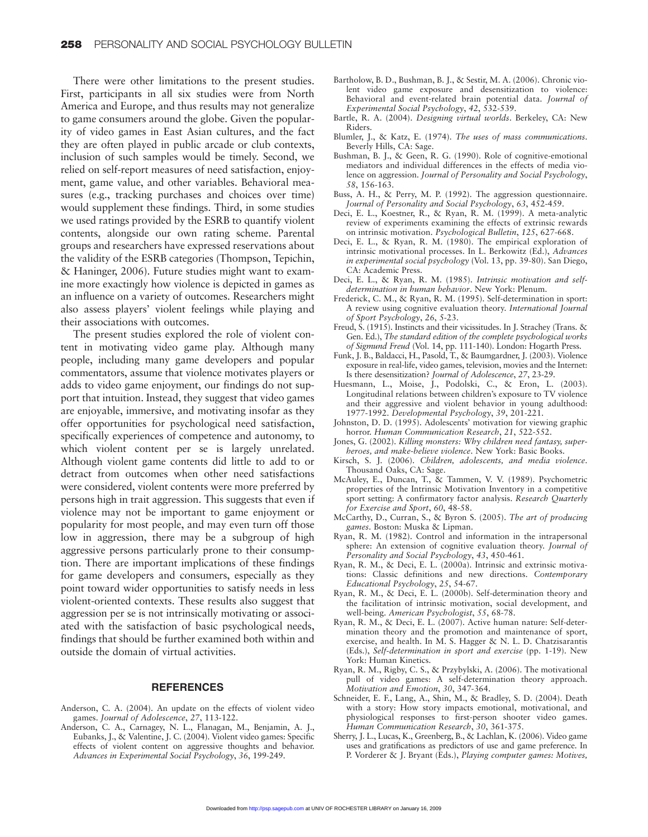There were other limitations to the present studies. First, participants in all six studies were from North America and Europe, and thus results may not generalize to game consumers around the globe. Given the popularity of video games in East Asian cultures, and the fact they are often played in public arcade or club contexts, inclusion of such samples would be timely. Second, we relied on self-report measures of need satisfaction, enjoyment, game value, and other variables. Behavioral measures (e.g., tracking purchases and choices over time) would supplement these findings. Third, in some studies we used ratings provided by the ESRB to quantify violent contents, alongside our own rating scheme. Parental groups and researchers have expressed reservations about the validity of the ESRB categories (Thompson, Tepichin, & Haninger, 2006). Future studies might want to examine more exactingly how violence is depicted in games as an influence on a variety of outcomes. Researchers might also assess players' violent feelings while playing and their associations with outcomes.

The present studies explored the role of violent content in motivating video game play. Although many people, including many game developers and popular commentators, assume that violence motivates players or adds to video game enjoyment, our findings do not support that intuition. Instead, they suggest that video games are enjoyable, immersive, and motivating insofar as they offer opportunities for psychological need satisfaction, specifically experiences of competence and autonomy, to which violent content per se is largely unrelated. Although violent game contents did little to add to or detract from outcomes when other need satisfactions were considered, violent contents were more preferred by persons high in trait aggression. This suggests that even if violence may not be important to game enjoyment or popularity for most people, and may even turn off those low in aggression, there may be a subgroup of high aggressive persons particularly prone to their consumption. There are important implications of these findings for game developers and consumers, especially as they point toward wider opportunities to satisfy needs in less violent-oriented contexts. These results also suggest that aggression per se is not intrinsically motivating or associated with the satisfaction of basic psychological needs, findings that should be further examined both within and outside the domain of virtual activities.

# **REFERENCES**

- Anderson, C. A. (2004). An update on the effects of violent video games. *Journal of Adolescence*, *27*, 113-122.
- Anderson, C. A., Carnagey, N. L., Flanagan, M., Benjamin, A. J., Eubanks, J., & Valentine, J. C. (2004). Violent video games: Specific effects of violent content on aggressive thoughts and behavior. *Advances in Experimental Social Psychology*, *36*, 199-249.
- Bartholow, B. D., Bushman, B. J., & Sestir, M. A. (2006). Chronic violent video game exposure and desensitization to violence: Behavioral and event-related brain potential data. *Journal of Experimental Social Psychology*, *42*, 532-539.
- Bartle, R. A. (2004). *Designing virtual worlds*. Berkeley, CA: New Riders.
- Blumler, J., & Katz, E. (1974). *The uses of mass communications*. Beverly Hills, CA: Sage.
- Bushman, B. J., & Geen, R. G. (1990). Role of cognitive-emotional mediators and individual differences in the effects of media violence on aggression. *Journal of Personality and Social Psychology*, *58*, 156-163.
- Buss, A. H., & Perry, M. P. (1992). The aggression questionnaire. *Journal of Personality and Social Psychology*, *63*, 452-459.
- Deci, E. L., Koestner, R., & Ryan, R. M. (1999). A meta-analytic review of experiments examining the effects of extrinsic rewards on intrinsic motivation. *Psychological Bulletin*, *125*, 627-668.
- Deci, E. L., & Ryan, R. M. (1980). The empirical exploration of intrinsic motivational processes. In L. Berkowitz (Ed.), *Advances in experimental social psychology* (Vol. 13, pp. 39-80). San Diego, CA: Academic Press.
- Deci, E. L., & Ryan, R. M. (1985). *Intrinsic motivation and selfdetermination in human behavior*. New York: Plenum.
- Frederick, C. M., & Ryan, R. M. (1995). Self-determination in sport: A review using cognitive evaluation theory. *International Journal of Sport Psychology*, *26*, 5-23.
- Freud, S. (1915). Instincts and their vicissitudes. In J. Strachey (Trans. & Gen. Ed.), *The standard edition of the complete psychological works of Sigmund Freud* (Vol. 14, pp. 111-140). London: Hogarth Press.
- Funk, J. B., Baldacci, H., Pasold, T., & Baumgardner, J. (2003). Violence exposure in real-life, video games, television, movies and the Internet: Is there desensitization? *Journal of Adolescence*, *27*, 23-29.
- Huesmann, L., Moise, J., Podolski, C., & Eron, L. (2003). Longitudinal relations between children's exposure to TV violence and their aggressive and violent behavior in young adulthood: 1977-1992. *Developmental Psychology*, *39*, 201-221.
- Johnston, D. D. (1995). Adolescents' motivation for viewing graphic horror. *Human Communication Research*, *21*, 522-552.
- Jones, G. (2002). *Killing monsters: Why children need fantasy, superheroes, and make-believe violence*. New York: Basic Books.
- Kirsch, S. J. (2006). *Children, adolescents, and media violence*. Thousand Oaks, CA: Sage.
- McAuley, E., Duncan, T., & Tammen, V. V. (1989). Psychometric properties of the Intrinsic Motivation Inventory in a competitive sport setting: A confirmatory factor analysis. *Research Quarterly for Exercise and Sport*, *60*, 48-58.
- McCarthy, D., Curran, S., & Byron S. (2005). *The art of producing games*. Boston: Muska & Lipman.
- Ryan, R. M. (1982). Control and information in the intrapersonal sphere: An extension of cognitive evaluation theory. *Journal of Personality and Social Psychology*, *43*, 450-461.
- Ryan, R. M., & Deci, E. L. (2000a). Intrinsic and extrinsic motivations: Classic definitions and new directions. *Contemporary Educational Psychology*, *25*, 54-67.
- Ryan, R. M., & Deci, E. L. (2000b). Self-determination theory and the facilitation of intrinsic motivation, social development, and well-being. *American Psychologist*, *55*, 68-78.
- Ryan, R. M., & Deci, E. L. (2007). Active human nature: Self-determination theory and the promotion and maintenance of sport, exercise, and health. In M. S. Hagger & N. L. D. Chatzisarantis (Eds.), *Self-determination in sport and exercise* (pp. 1-19). New York: Human Kinetics.
- Ryan, R. M., Rigby, C. S., & Przybylski, A. (2006). The motivational pull of video games: A self-determination theory approach. *Motivation and Emotion*, *30*, 347-364.
- Schneider, E. F., Lang, A., Shin, M., & Bradley, S. D. (2004). Death with a story: How story impacts emotional, motivational, and physiological responses to first-person shooter video games. *Human Communication Research*, *30*, 361-375.
- Sherry, J. L., Lucas, K., Greenberg, B., & Lachlan, K. (2006). Video game uses and gratifications as predictors of use and game preference. In P. Vorderer & J. Bryant (Eds.), *Playing computer games: Motives,*